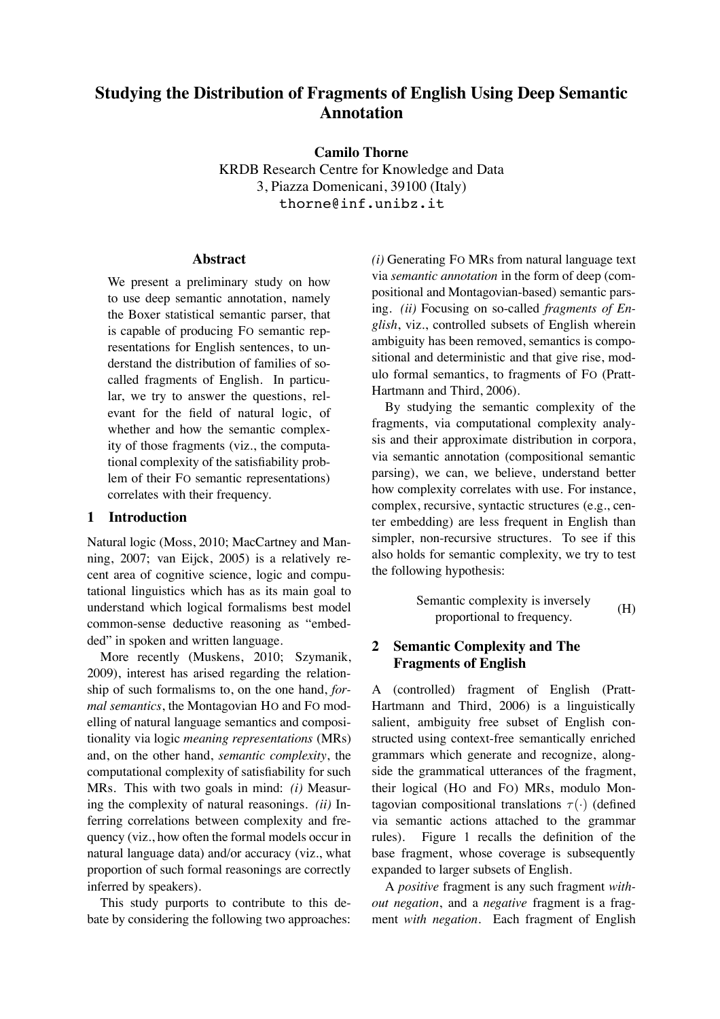# **Studying the Distribution of Fragments of English Using Deep Semantic Annotation**

**Camilo Thorne**

KRDB Research Centre for Knowledge and Data 3, Piazza Domenicani, 39100 (Italy) thorne@inf.unibz.it

### **Abstract**

We present a preliminary study on how to use deep semantic annotation, namely the Boxer statistical semantic parser, that is capable of producing FO semantic representations for English sentences, to understand the distribution of families of socalled fragments of English. In particular, we try to answer the questions, relevant for the field of natural logic, of whether and how the semantic complexity of those fragments (viz., the computational complexity of the satisfiability problem of their FO semantic representations) correlates with their frequency.

# **1 Introduction**

Natural logic (Moss, 2010; MacCartney and Manning, 2007; van Eijck, 2005) is a relatively recent area of cognitive science, logic and computational linguistics which has as its main goal to understand which logical formalisms best model common-sense deductive reasoning as "embedded" in spoken and written language.

More recently (Muskens, 2010; Szymanik, 2009), interest has arised regarding the relationship of such formalisms to, on the one hand, *formal semantics*, the Montagovian HO and FO modelling of natural language semantics and compositionality via logic *meaning representations* (MRs) and, on the other hand, *semantic complexity*, the computational complexity of satisfiability for such MRs. This with two goals in mind: *(i)* Measuring the complexity of natural reasonings. *(ii)* Inferring correlations between complexity and frequency (viz., how often the formal models occur in natural language data) and/or accuracy (viz., what proportion of such formal reasonings are correctly inferred by speakers).

This study purports to contribute to this debate by considering the following two approaches: *(i)* Generating FO MRs from natural language text via *semantic annotation* in the form of deep (compositional and Montagovian-based) semantic parsing. *(ii)* Focusing on so-called *fragments of English*, viz., controlled subsets of English wherein ambiguity has been removed, semantics is compositional and deterministic and that give rise, modulo formal semantics, to fragments of FO (Pratt-Hartmann and Third, 2006).

By studying the semantic complexity of the fragments, via computational complexity analysis and their approximate distribution in corpora, via semantic annotation (compositional semantic parsing), we can, we believe, understand better how complexity correlates with use. For instance, complex, recursive, syntactic structures (e.g., center embedding) are less frequent in English than simpler, non-recursive structures. To see if this also holds for semantic complexity, we try to test the following hypothesis:

Semantic complexity is inversely proportional to frequency. (H)

# **2 Semantic Complexity and The Fragments of English**

A (controlled) fragment of English (Pratt-Hartmann and Third, 2006) is a linguistically salient, ambiguity free subset of English constructed using context-free semantically enriched grammars which generate and recognize, alongside the grammatical utterances of the fragment, their logical (HO and FO) MRs, modulo Montagovian compositional translations  $\tau(\cdot)$  (defined via semantic actions attached to the grammar rules). Figure 1 recalls the definition of the base fragment, whose coverage is subsequently expanded to larger subsets of English.

A *positive* fragment is any such fragment *without negation*, and a *negative* fragment is a fragment *with negation*. Each fragment of English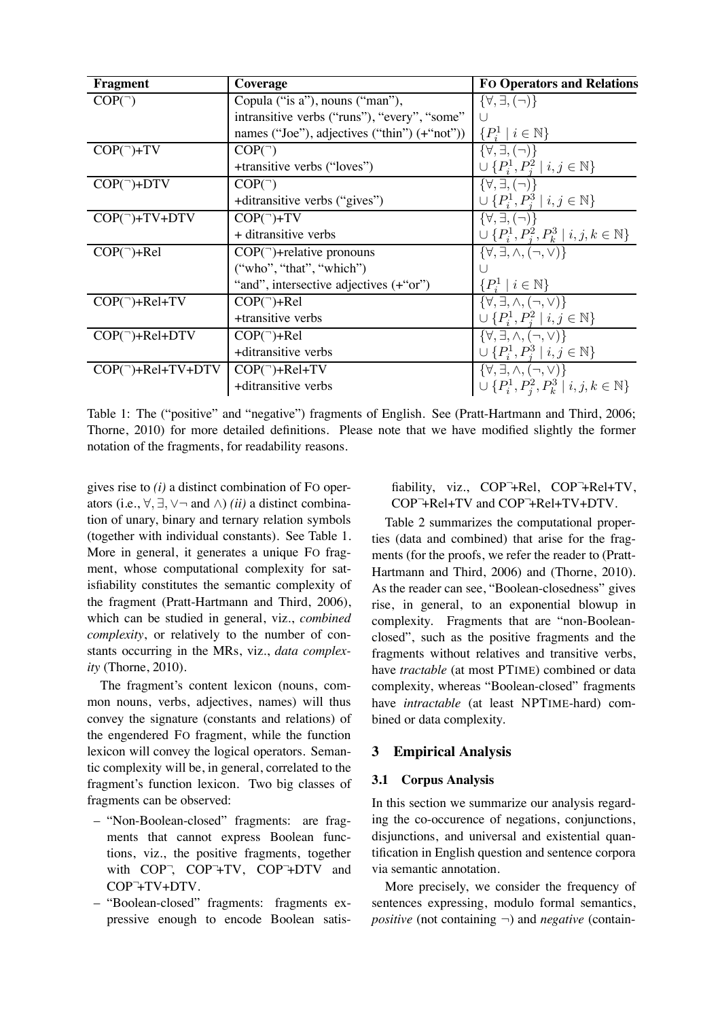| Fragment                           | Coverage                                     | <b>FO Operators and Relations</b>                           |  |  |
|------------------------------------|----------------------------------------------|-------------------------------------------------------------|--|--|
| $COP($ )                           | Copula ("is a"), nouns ("man"),              | $\{\forall,\exists,(\neg)\}\$                               |  |  |
|                                    | intransitive verbs ("runs"), "every", "some" |                                                             |  |  |
|                                    | names ("Joe"), adjectives ("thin") (+"not")) | $\{P_i^1 \mid i \in \mathbb{N}\}\$                          |  |  |
| $COP($ <sup>-</sup> )+TV           | $COP($ )                                     | $\{\forall,\exists,(\neg)\}\$                               |  |  |
|                                    | +transitive verbs ("loves")                  | $\cup \{P_i^1, P_i^2 \mid i, j \in \mathbb{N}\}\$           |  |  |
| $COP($ <sup>-</sup> $)+$ DTV       | $COP($ )                                     | $\{\forall,\exists,(\neg)\}\$                               |  |  |
|                                    | +ditransitive verbs ("gives")                | $\cup \{P_i^1, P_i^3 \mid i, j \in \mathbb{N}\}\$           |  |  |
| $COP(\neg) + TV + DTV$             | $COP($ <sup>-</sup> $)+TV$                   | $\{\forall,\exists,(\neg)\}\$                               |  |  |
|                                    | + ditransitive verbs                         | $\cup \{P_i^1, P_i^2, P_k^3 \mid i, j, k \in \mathbb{N}\}\$ |  |  |
| $COP($ <sup>-</sup> $)+Rel$        | $COP(\neg)$ +relative pronouns               | $\{\forall,\exists,\wedge,(\neg,\vee)\}\$                   |  |  |
|                                    | ("who", "that", "which")                     |                                                             |  |  |
|                                    | "and", intersective adjectives (+"or")       | $\{P_i^1 \mid i \in \mathbb{N}\}\$                          |  |  |
| $COP($ <sup>-</sup> $)+Rel+TV$     | $COP($ <sup>-</sup> $)+Rel$                  | $\{\forall,\exists,\wedge,(\neg,\vee)\}\$                   |  |  |
|                                    | +transitive verbs                            | $\cup \{P_i^1, P_i^2 \mid i, j \in \mathbb{N}\}\$           |  |  |
| $COP(\neg) + Rel + DTV$            | $COP($ <sup>-</sup> $)+Rel$                  | $\{\forall,\exists,\wedge,(\neg,\vee)\}\$                   |  |  |
|                                    | +ditransitive verbs                          | $\cup \{P_i^1, P_i^3 \mid i, j \in \mathbb{N}\}\$           |  |  |
| $COP($ <sup>-</sup> $)+Rel+TV+DTV$ | $COP($ <sup>-</sup> $)+Rel+TV$               | $\{\forall,\exists,\wedge,(\neg,\vee)\}\$                   |  |  |
|                                    | +ditransitive verbs                          | $\cup \{P_i^1, P_i^2, P_k^3 \mid i, j, k \in \mathbb{N}\}\$ |  |  |

Table 1: The ("positive" and "negative") fragments of English. See (Pratt-Hartmann and Third, 2006; Thorne, 2010) for more detailed definitions. Please note that we have modified slightly the former notation of the fragments, for readability reasons.

gives rise to *(i)* a distinct combination of FO operators (i.e.,  $\forall$ ,  $\exists$ ,  $\forall$   $\neg$  and  $\land$ ) *(ii)* a distinct combination of unary, binary and ternary relation symbols (together with individual constants). See Table 1. More in general, it generates a unique FO fragment, whose computational complexity for satisfiability constitutes the semantic complexity of the fragment (Pratt-Hartmann and Third, 2006), which can be studied in general, viz., *combined complexity*, or relatively to the number of constants occurring in the MRs, viz., *data complexity* (Thorne, 2010).

The fragment's content lexicon (nouns, common nouns, verbs, adjectives, names) will thus convey the signature (constants and relations) of the engendered FO fragment, while the function lexicon will convey the logical operators. Semantic complexity will be, in general, correlated to the fragment's function lexicon. Two big classes of fragments can be observed:

- "Non-Boolean-closed" fragments: are fragments that cannot express Boolean functions, viz., the positive fragments, together with COP<sup>-</sup>, COP<sup>-</sup>+TV, COP<sup>-+</sup>DTV and COP<sup>-</sup>+TV+DTV.
- "Boolean-closed" fragments: fragments expressive enough to encode Boolean satis-

# fiability, viz., COP<sup>-</sup>+Rel, COP<sup>-</sup>+Rel+TV, COP<sup>-</sup>+Rel+TV and COP<sup>-</sup>+Rel+TV+DTV.

Table 2 summarizes the computational properties (data and combined) that arise for the fragments (for the proofs, we refer the reader to (Pratt-Hartmann and Third, 2006) and (Thorne, 2010). As the reader can see, "Boolean-closedness" gives rise, in general, to an exponential blowup in complexity. Fragments that are "non-Booleanclosed", such as the positive fragments and the fragments without relatives and transitive verbs, have *tractable* (at most PTIME) combined or data complexity, whereas "Boolean-closed" fragments have *intractable* (at least NPTIME-hard) combined or data complexity.

# **3 Empirical Analysis**

### **3.1 Corpus Analysis**

In this section we summarize our analysis regarding the co-occurence of negations, conjunctions, disjunctions, and universal and existential quantification in English question and sentence corpora via semantic annotation.

More precisely, we consider the frequency of sentences expressing, modulo formal semantics, *positive* (not containing ¬) and *negative* (contain-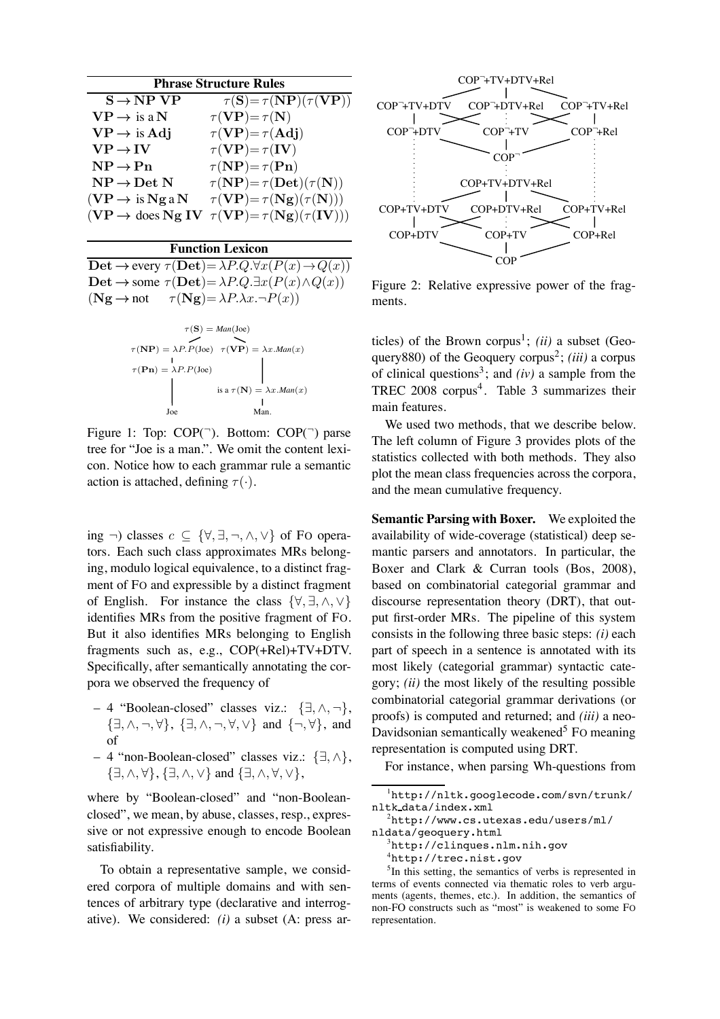| <b>Phrase Structure Rules</b> |  |        |  |  |  |
|-------------------------------|--|--------|--|--|--|
|                               |  | (2.77) |  |  |  |

| $S \rightarrow NP VP$                         | $\tau(S) = \tau(N\overline{P})(\tau(V\overline{P}))$ |
|-----------------------------------------------|------------------------------------------------------|
| $\mathbf{V}\mathbf{P}\to$ is a $\mathbf{N}$   | $\tau(VP) = \tau(N)$                                 |
| $VP \rightarrow$ is Adj                       | $\tau(VP) = \tau(Adj)$                               |
| $VP \rightarrow IV$                           | $\tau(VP) = \tau(IV)$                                |
| $\mathbf{NP} \rightarrow \mathbf{Pn}$         | $\tau(NP) = \tau(Pn)$                                |
| $\text{NP} \rightarrow \text{Det} \ \text{N}$ | $\tau(NP) = \tau(Det)(\tau(N))$                      |
| $(VP \rightarrow is Nga N$                    | $\tau(VP) = \tau(Ng)(\tau(N)))$                      |
| $(VP \rightarrow$ does Ng IV                  | $\tau(VP) = \tau(Ng)(\tau(IV))$                      |

#### **Function Lexicon**

Det  $\rightarrow$  every  $\tau$ (Det)=  $\lambda P.Q.\forall x(P(x) \rightarrow Q(x))$ Det  $\rightarrow$  some  $\tau$ (Det)=  $\lambda P.Q.\exists x(P(x) \land Q(x))$  $(Ng \rightarrow not \tau(Ng) = \lambda P.\lambda x.\neg P(x))$ 

$$
\tau(\mathbf{S}) = Man(Joe)
$$
  
\n
$$
\tau(\mathbf{NP}) = \lambda P.P(Joe) \quad \tau(\mathbf{VP}) = \lambda x.Man(x)
$$
  
\n
$$
\tau(\mathbf{Pn}) = \lambda P.P(Joe)
$$
  
\n
$$
\downarrow
$$
  
\nis a  $\tau(\mathbf{N}) = \lambda x.Man(x)$   
\n
$$
\downarrow
$$
  
\n
$$
\downarrow
$$
  
\n
$$
\downarrow
$$
  
\n
$$
\downarrow
$$
  
\n
$$
\downarrow
$$
  
\n
$$
\downarrow
$$
  
\n
$$
\downarrow
$$
  
\n
$$
\downarrow
$$
  
\n
$$
\downarrow
$$
  
\n
$$
\downarrow
$$
  
\n
$$
\downarrow
$$
  
\n
$$
\downarrow
$$
  
\n
$$
\downarrow
$$
  
\n
$$
\downarrow
$$
  
\n
$$
\downarrow
$$
  
\n
$$
\downarrow
$$
  
\n
$$
\downarrow
$$
  
\n
$$
\downarrow
$$
  
\n
$$
\downarrow
$$
  
\n
$$
\downarrow
$$
  
\n
$$
\downarrow
$$
  
\n
$$
\downarrow
$$
  
\n
$$
\downarrow
$$
  
\n
$$
\downarrow
$$
  
\n
$$
\downarrow
$$
  
\n
$$
\downarrow
$$
  
\n
$$
\downarrow
$$
  
\n
$$
\downarrow
$$
  
\n
$$
\downarrow
$$
  
\n
$$
\downarrow
$$
  
\n
$$
\downarrow
$$
  
\n
$$
\downarrow
$$
  
\n
$$
\downarrow
$$
  
\n
$$
\downarrow
$$
  
\n
$$
\downarrow
$$
  
\n
$$
\downarrow
$$
  
\n
$$
\downarrow
$$
  
\n
$$
\downarrow
$$
  
\n
$$
\downarrow
$$
  
\n
$$
\downarrow
$$
  
\n
$$
\downarrow
$$
  
\n
$$
\downarrow
$$
  
\n
$$
\downarrow
$$
  
\n
$$
\downarrow
$$
  
\n
$$
\downarrow
$$
  
\n $$ 

Figure 1: Top: COP(-). Bottom: COP(-) parse tree for "Joe is a man.". We omit the content lexicon. Notice how to each grammar rule a semantic action is attached, defining  $\tau(\cdot)$ .

ing  $\neg$ ) classes  $c \subseteq {\forall, \exists, \neg, \wedge, \vee}$  of FO operators. Each such class approximates MRs belonging, modulo logical equivalence, to a distinct fragment of FO and expressible by a distinct fragment of English. For instance the class  $\{\forall, \exists, \wedge, \vee\}$ identifies MRs from the positive fragment of FO. But it also identifies MRs belonging to English fragments such as, e.g., COP(+Rel)+TV+DTV. Specifically, after semantically annotating the corpora we observed the frequency of

- 4 "Boolean-closed" classes viz.: {∃,∧,¬}, {∃,∧,¬, ∀}, {∃,∧,¬, ∀,∨} and {¬, ∀}, and of
- 4 "non-Boolean-closed" classes viz.: {∃,∧}, {∃,∧, ∀}, {∃,∧,∨} and {∃,∧, ∀,∨},

where by "Boolean-closed" and "non-Booleanclosed", we mean, by abuse, classes, resp., expressive or not expressive enough to encode Boolean satisfiability.

To obtain a representative sample, we considered corpora of multiple domains and with sentences of arbitrary type (declarative and interrogative). We considered: *(i)* a subset (A: press ar-



Figure 2: Relative expressive power of the fragments.

ticles) of the Brown corpus<sup>1</sup>; *(ii)* a subset (Geoquery880) of the Geoquery corpus<sup>2</sup>; *(iii)* a corpus of clinical questions<sup>3</sup>; and  $(iv)$  a sample from the TREC 2008 corpus<sup>4</sup>. Table 3 summarizes their main features.

We used two methods, that we describe below. The left column of Figure 3 provides plots of the statistics collected with both methods. They also plot the mean class frequencies across the corpora, and the mean cumulative frequency.

**Semantic Parsing with Boxer.** We exploited the availability of wide-coverage (statistical) deep semantic parsers and annotators. In particular, the Boxer and Clark & Curran tools (Bos, 2008), based on combinatorial categorial grammar and discourse representation theory (DRT), that output first-order MRs. The pipeline of this system consists in the following three basic steps: *(i)* each part of speech in a sentence is annotated with its most likely (categorial grammar) syntactic category; *(ii)* the most likely of the resulting possible combinatorial categorial grammar derivations (or proofs) is computed and returned; and *(iii)* a neo-Davidsonian semantically weakened<sup>5</sup> FO meaning representation is computed using DRT.

For instance, when parsing Wh-questions from

- ${}^{3}$ http://clinques.nlm.nih.gov
	- 4 http://trec.nist.gov

<sup>1</sup> http://nltk.googlecode.com/svn/trunk/ nltk data/index.xml

 $^{2}$ http://www.cs.utexas.edu/users/ml/ nldata/geoquery.html

<sup>&</sup>lt;sup>5</sup>In this setting, the semantics of verbs is represented in terms of events connected via thematic roles to verb arguments (agents, themes, etc.). In addition, the semantics of non-FO constructs such as "most" is weakened to some FO representation.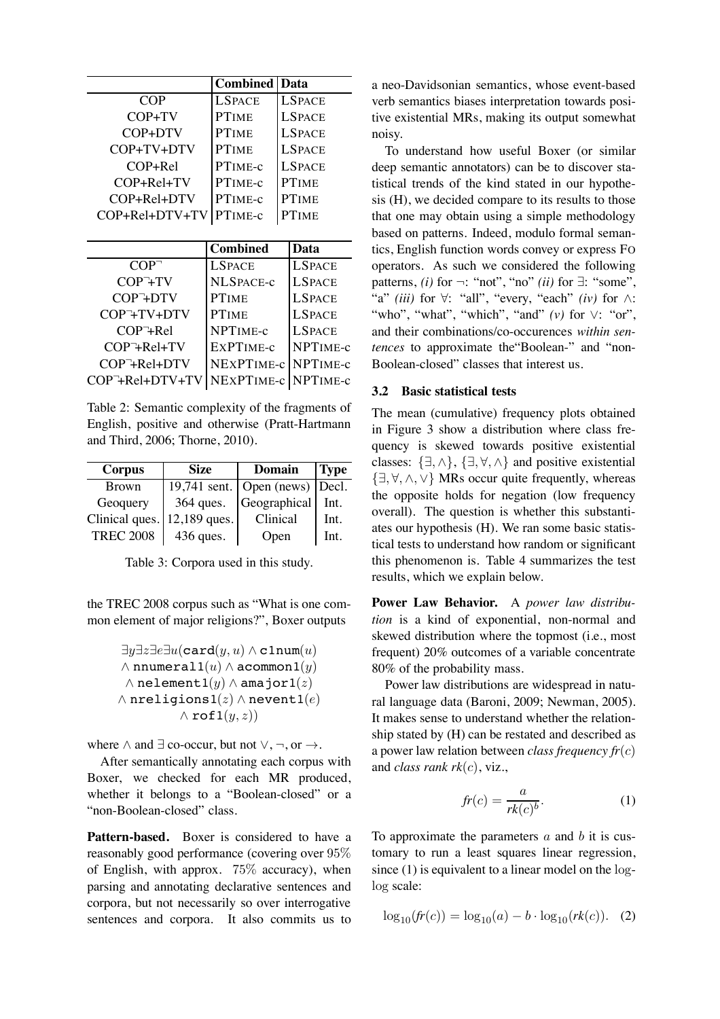| <b>Combined</b>                |                   | Data          |  |  |
|--------------------------------|-------------------|---------------|--|--|
| COP                            | <b>LSPACE</b>     | <b>LSPACE</b> |  |  |
| COP+TV                         | <b>PTIME</b>      | <b>LSPACE</b> |  |  |
| $COP + DTV$                    | <b>PTIME</b>      | <b>LSPACE</b> |  |  |
| COP+TV+DTV                     | <b>PTIME</b>      | <b>LSPACE</b> |  |  |
| $COP + Rel$                    | PTIME-c           | <b>LSPACE</b> |  |  |
| $COP + Rel + TV$               | PTIME-c           | <b>PTIME</b>  |  |  |
| $COP + Rel + DTV$              | PTIME-c           | <b>PTIME</b>  |  |  |
| $COP+Rel+DTV+TV$               | PTIME-c           | <b>PTIME</b>  |  |  |
|                                |                   |               |  |  |
|                                | <b>Combined</b>   | Data          |  |  |
| $COP^-$                        | <b>LSPACE</b>     | <b>LSPACE</b> |  |  |
| COP <sup>-</sup> +TV           | <b>NLSPACE-c</b>  | <b>LSPACE</b> |  |  |
| COP <sup>-</sup> +DTV          | <b>PTIME</b>      | <b>LSPACE</b> |  |  |
| COP <sup>-</sup> +TV+DTV       | <b>PTIME</b>      | <b>LSPACE</b> |  |  |
| $COP + Rel$                    | NPTIME-c          | <b>LSPACE</b> |  |  |
| $COP+Rel+TV$                   | EXPTIME-C         | NPTIME-C      |  |  |
| $COP+Rel+DTV$                  | NEXPTIME-c        | NPTIME-c      |  |  |
| $COP$ <sup>-</sup> +Rel+DTV+TV | <b>NEXPTIME-c</b> | NPTIME-c      |  |  |

Table 2: Semantic complexity of the fragments of English, positive and otherwise (Pratt-Hartmann and Third, 2006; Thorne, 2010).

| Corpus           | <b>Size</b>  | <b>Domain</b>                                  | <b>Type</b> |
|------------------|--------------|------------------------------------------------|-------------|
| <b>Brown</b>     |              | 19,741 sent. $\vert$ Open (news) $\vert$ Decl. |             |
| Geoquery         | 364 ques.    | Geographical                                   | Int.        |
| Clinical ques.   | 12,189 ques. | Clinical                                       | Int.        |
| <b>TREC 2008</b> | 436 ques.    | Open                                           | Int.        |

Table 3: Corpora used in this study.

the TREC 2008 corpus such as "What is one common element of major religions?", Boxer outputs

$$
\exists y \exists z \exists \exists u (\texttt{card}(y, u) \land \texttt{clnum}(u) \\ \land \texttt{numeral1}(u) \land \texttt{acommon1}(y) \\ \land \texttt{nelement1}(y) \land \texttt{amajor1}(z) \\ \land \texttt{neligions1}(z) \land \texttt{newent1}(e) \\ \land \texttt{rof1}(y, z))
$$

where  $\land$  and  $\exists$  co-occur, but not  $\lor$ ,  $\neg$ , or  $\rightarrow$ .

After semantically annotating each corpus with Boxer, we checked for each MR produced, whether it belongs to a "Boolean-closed" or a "non-Boolean-closed" class.

**Pattern-based.** Boxer is considered to have a reasonably good performance (covering over 95% of English, with approx. 75% accuracy), when parsing and annotating declarative sentences and corpora, but not necessarily so over interrogative sentences and corpora. It also commits us to

a neo-Davidsonian semantics, whose event-based verb semantics biases interpretation towards positive existential MRs, making its output somewhat noisy.

To understand how useful Boxer (or similar deep semantic annotators) can be to discover statistical trends of the kind stated in our hypothesis (H), we decided compare to its results to those that one may obtain using a simple methodology based on patterns. Indeed, modulo formal semantics, English function words convey or express FO operators. As such we considered the following patterns, *(i)* for  $\neg$ : "not", "no" *(ii)* for  $\exists$ : "some", "a" *(iii)* for ∀: "all", "every, "each" *(iv)* for ∧: "who", "what", "which", "and" *(v)* for ∨: "or", and their combinations/co-occurences *within sentences* to approximate the"Boolean-" and "non-Boolean-closed" classes that interest us.

# **3.2 Basic statistical tests**

The mean (cumulative) frequency plots obtained in Figure 3 show a distribution where class frequency is skewed towards positive existential classes:  $\{\exists, \wedge\}, \{\exists, \forall, \wedge\}$  and positive existential {∃, ∀,∧,∨} MRs occur quite frequently, whereas the opposite holds for negation (low frequency overall). The question is whether this substantiates our hypothesis (H). We ran some basic statistical tests to understand how random or significant this phenomenon is. Table 4 summarizes the test results, which we explain below.

**Power Law Behavior.** A *power law distribution* is a kind of exponential, non-normal and skewed distribution where the topmost (i.e., most frequent) 20% outcomes of a variable concentrate 80% of the probability mass.

Power law distributions are widespread in natural language data (Baroni, 2009; Newman, 2005). It makes sense to understand whether the relationship stated by (H) can be restated and described as a power law relation between *class frequency fr*(c) and *class rank rk*(c), viz.,

$$
fr(c) = \frac{a}{rk(c)^b}.\tag{1}
$$

To approximate the parameters  $a$  and  $b$  it is customary to run a least squares linear regression, since (1) is equivalent to a linear model on the loglog scale:

$$
\log_{10}(fr(c)) = \log_{10}(a) - b \cdot \log_{10}(rk(c)). \quad (2)
$$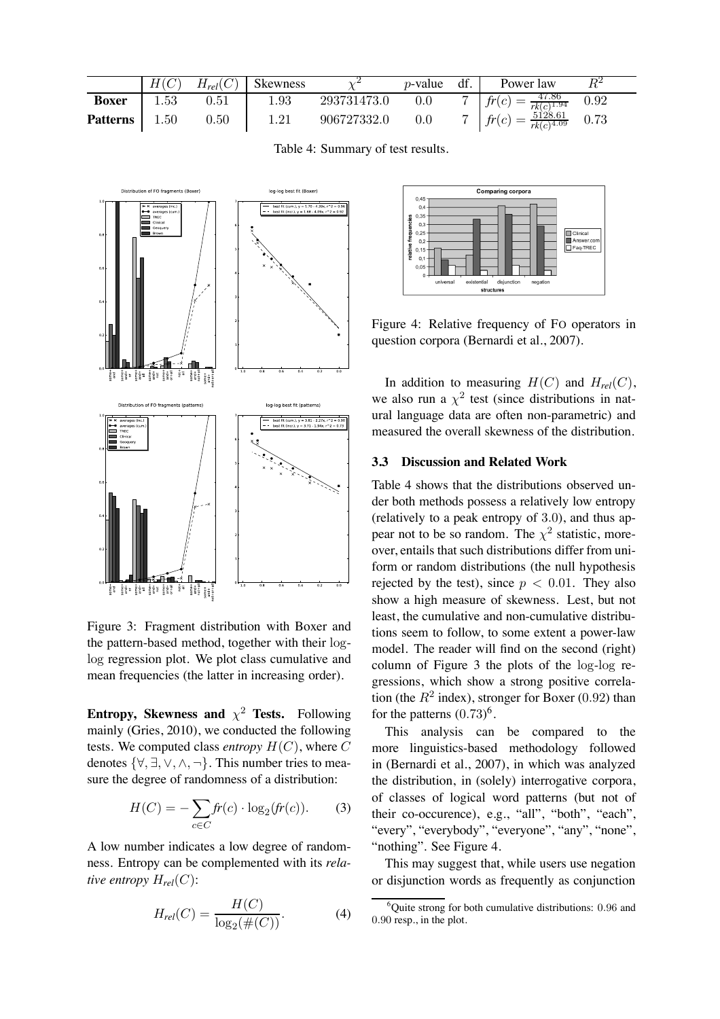|                 | H(C)     | $H_{rel}(C)$ | <b>Skewness</b> |             | $p$ -value | df. | Power law                                | $\,R^2$ |  |
|-----------------|----------|--------------|-----------------|-------------|------------|-----|------------------------------------------|---------|--|
| <b>Boxer</b>    | 1.53     | 0.51         | 1.93            | 293731473.0 | 0.0        | ⇁   | $f(r(c) = \frac{47.86}{rk(c)^{1.94}}$    | 0.92    |  |
| <b>Patterns</b> | $1.50\,$ | $0.50\,$     | 1.21            | 906727332.0 | 0.0        |     | $=\frac{5128.61}{rk(c)^{4.09}}$<br>fr(c) | 0.73    |  |

Table 4: Summary of test results.



Figure 3: Fragment distribution with Boxer and the pattern-based method, together with their loglog regression plot. We plot class cumulative and mean frequencies (the latter in increasing order).

**Entropy, Skewness and**  $\chi^2$  **Tests.** Following mainly (Gries, 2010), we conducted the following tests. We computed class *entropy*  $H(C)$ , where C denotes  $\{\forall, \exists, \vee, \wedge, \neg\}$ . This number tries to measure the degree of randomness of a distribution:

$$
H(C) = -\sum_{c \in C} fr(c) \cdot \log_2(fr(c)). \tag{3}
$$

A low number indicates a low degree of randomness. Entropy can be complemented with its *relative entropy*  $H_{rel}(C)$ :

$$
H_{rel}(C) = \frac{H(C)}{\log_2(\#(C))}.
$$
 (4)



Figure 4: Relative frequency of FO operators in question corpora (Bernardi et al., 2007).

In addition to measuring  $H(C)$  and  $H_{rel}(C)$ , we also run a  $\chi^2$  test (since distributions in natural language data are often non-parametric) and measured the overall skewness of the distribution.

#### **3.3 Discussion and Related Work**

Table 4 shows that the distributions observed under both methods possess a relatively low entropy (relatively to a peak entropy of 3.0), and thus appear not to be so random. The  $\chi^2$  statistic, moreover, entails that such distributions differ from uniform or random distributions (the null hypothesis rejected by the test), since  $p < 0.01$ . They also show a high measure of skewness. Lest, but not least, the cumulative and non-cumulative distributions seem to follow, to some extent a power-law model. The reader will find on the second (right) column of Figure 3 the plots of the log-log regressions, which show a strong positive correlation (the  $R^2$  index), stronger for Boxer (0.92) than for the patterns  $(0.73)^6$ .

This analysis can be compared to the more linguistics-based methodology followed in (Bernardi et al., 2007), in which was analyzed the distribution, in (solely) interrogative corpora, of classes of logical word patterns (but not of their co-occurence), e.g., "all", "both", "each", "every", "everybody", "everyone", "any", "none", "nothing". See Figure 4.

This may suggest that, while users use negation or disjunction words as frequently as conjunction

<sup>&</sup>lt;sup>6</sup>Quite strong for both cumulative distributions: 0.96 and 0.90 resp., in the plot.